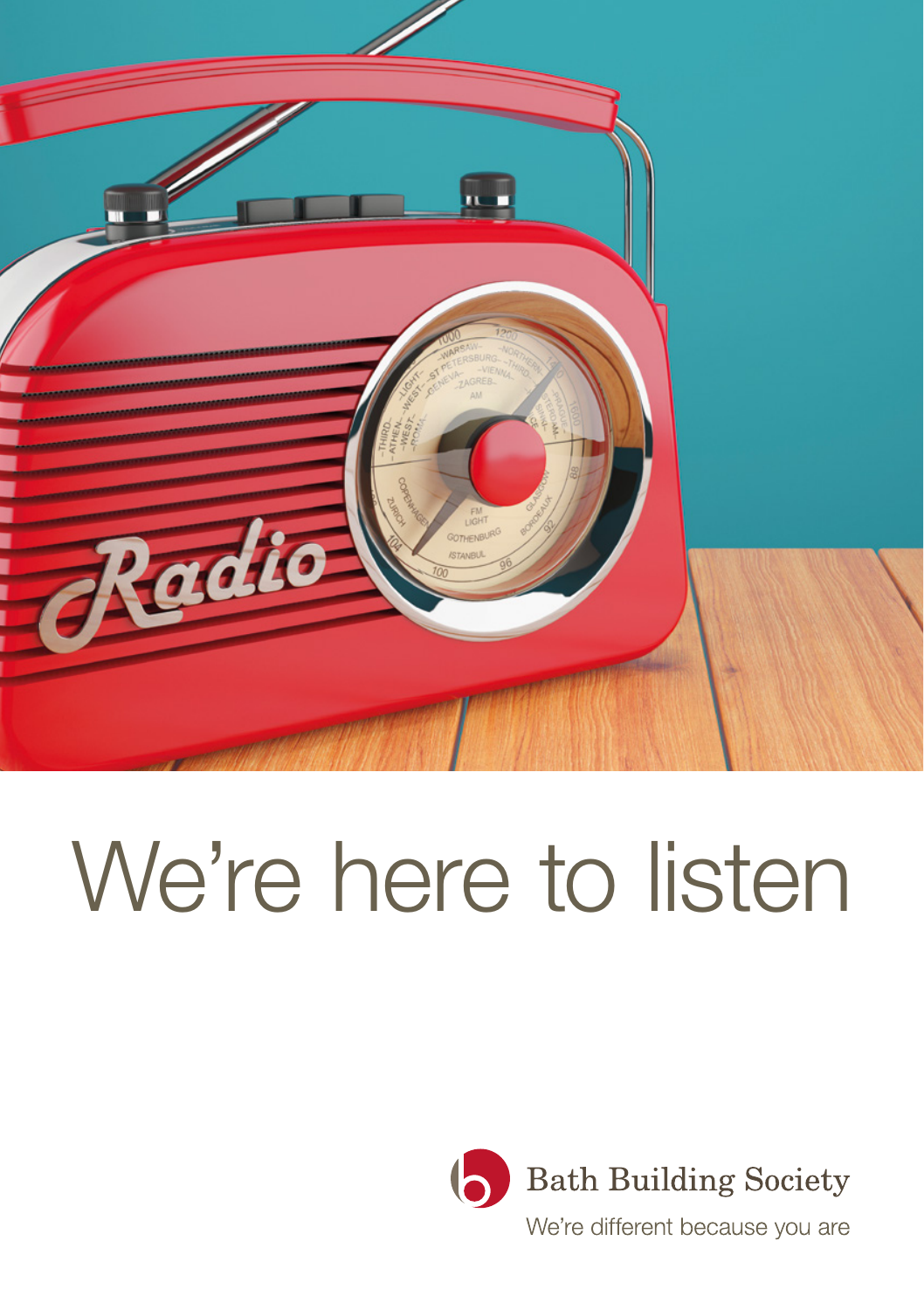

# We're here to listen

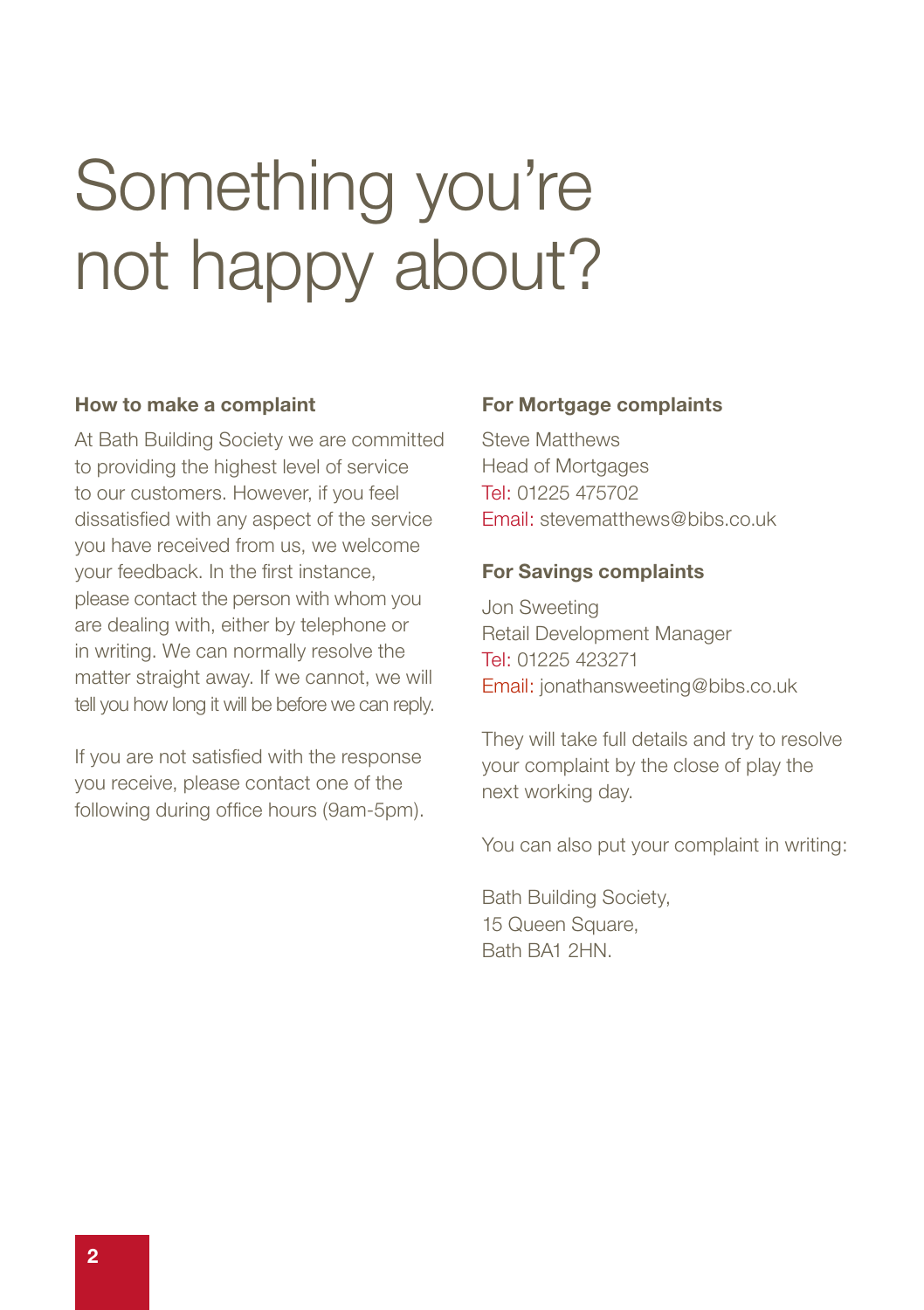## Something you're not happy about?

#### **How to make a complaint**

At Bath Building Society we are committed to providing the highest level of service to our customers. However, if you feel dissatisfied with any aspect of the service you have received from us, we welcome your feedback. In the first instance, please contact the person with whom you are dealing with, either by telephone or in writing. We can normally resolve the matter straight away. If we cannot, we will tell you how long it will be before we can reply.

If you are not satisfied with the response you receive, please contact one of the following during office hours (9am-5pm).

#### **For Mortgage complaints**

Steve Matthews Head of Mortgages Tel: 01225 475702 Email: stevematthews@bibs.co.uk

#### **For Savings complaints**

Jon Sweeting Retail Development Manager Tel: 01225 423271 Email: jonathansweeting@bibs.co.uk

They will take full details and try to resolve your complaint by the close of play the next working day.

You can also put your complaint in writing:

Bath Building Society, 15 Queen Square, Bath BA1 2HN.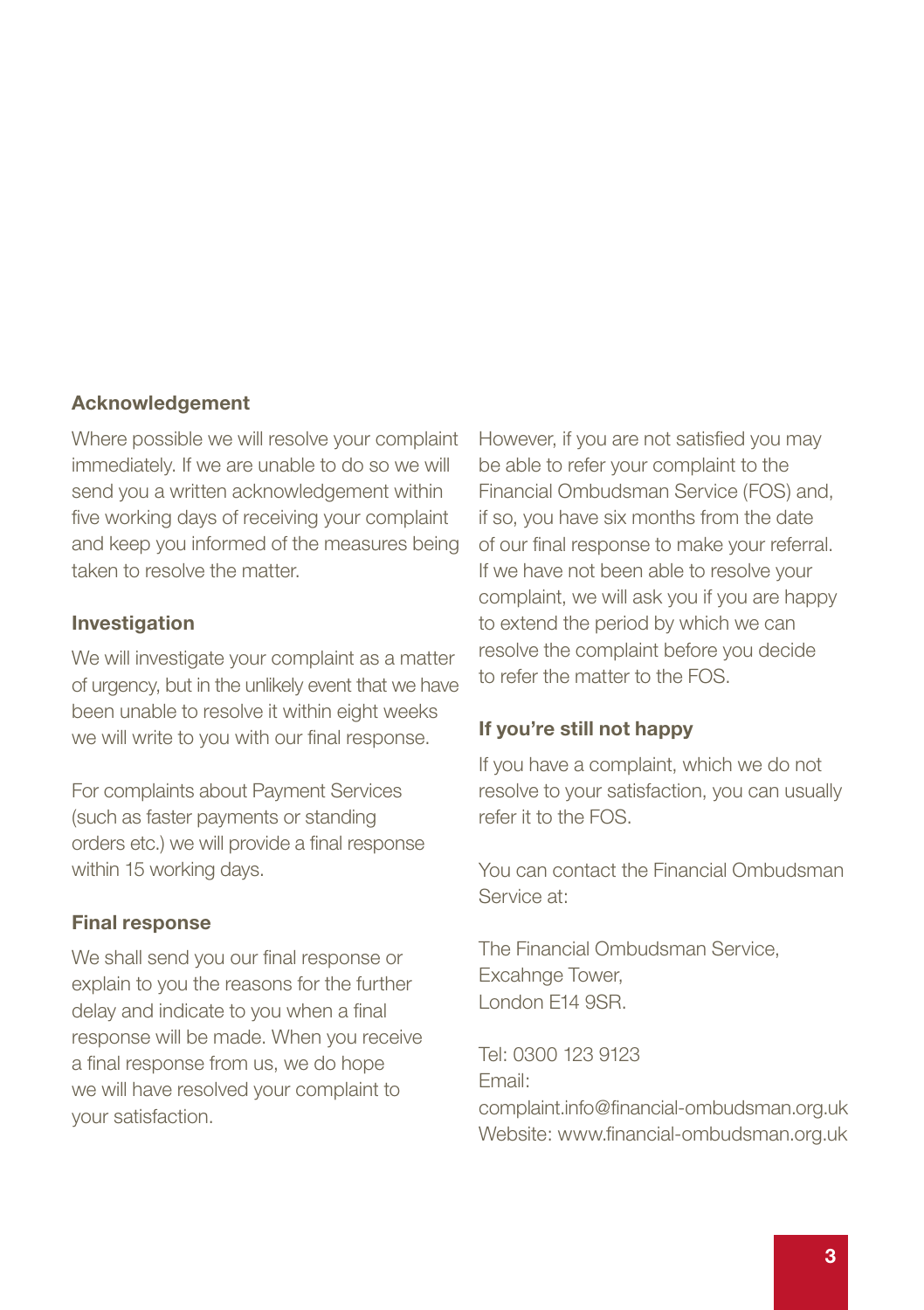#### **Acknowledgement**

Where possible we will resolve your complaint immediately. If we are unable to do so we will send you a written acknowledgement within five working days of receiving your complaint and keep you informed of the measures being taken to resolve the matter.

#### **Investigation**

We will investigate your complaint as a matter of urgency, but in the unlikely event that we have been unable to resolve it within eight weeks we will write to you with our final response.

For complaints about Payment Services (such as faster payments or standing orders etc.) we will provide a final response within 15 working days.

#### **Final response**

We shall send you our final response or explain to you the reasons for the further delay and indicate to you when a final response will be made. When you receive a final response from us, we do hope we will have resolved your complaint to your satisfaction.

However, if you are not satisfied you may be able to refer your complaint to the Financial Ombudsman Service (FOS) and, if so, you have six months from the date of our final response to make your referral. If we have not been able to resolve your complaint, we will ask you if you are happy to extend the period by which we can resolve the complaint before you decide to refer the matter to the FOS.

#### **If you're still not happy**

If you have a complaint, which we do not resolve to your satisfaction, you can usually refer it to the FOS.

You can contact the Financial Ombudsman Service at:

The Financial Ombudsman Service, Excahnge Tower, London E14 9SR.

Tel: 0300 123 9123 Email: complaint.info@financial-ombudsman.org.uk Website: www.financial-ombudsman.org.uk